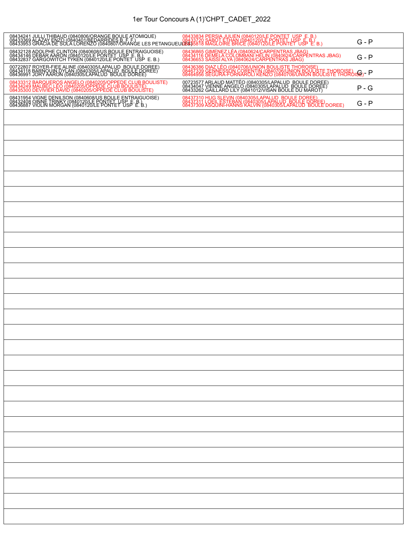## 1er Tour Concours A (1)'CHPT\_CADET\_2022

| 08434241 JULU THIBAUD (0840806/ORANGE BOULE ATOMIQUE)      08433834 PERSIA JULIEN (0840120/LE PONTET USP E. B.)<br>084333699 ALAZAY ENZO (0840401/BEDARRIDES Br.A.)COMIC USES TO DESIGN SABOT ETHAN (0840120/LE PONTET USP E. B.) |                                                                                                                                                                                              | $G - P$ |
|-----------------------------------------------------------------------------------------------------------------------------------------------------------------------------------------------------------------------------------|----------------------------------------------------------------------------------------------------------------------------------------------------------------------------------------------|---------|
| 08432128 ADOLPHE CLINTON (0840608/US BOULE ENTRAIGUOISE)<br>08434146 DEBAR AARON (0840120/LE PONTET USP ET USP E.<br>08432837 GARGOWITCH TYKEN (0840120/LE PONTET USP E. B.)                                                      | 08436865 GIMENEZ LÉA (0840624/CARPENTRAS JBAG)<br>08434116 DEMELA COLOMBANI HELIN (0840624/CARPENTRAS JBAG)<br>08436653 SAISSI ALYA (0840624/CARPENTRAS JBAG)                                | $G - P$ |
| 00722807 ROYER-FIEE ALINE (0840305/LAPALUD BOULE DOREE)<br>08434118 BARNOUIN DYLAN (0840305/LAPALUD BOULE DOREE)<br>08436991 JORY AARON (0840305/LAPALUD BOULE DOREE)                                                             | 08436386 DIAZ LÉO (0840706/UNION BOULISTE THOROISE)<br>08467339 GENNESSON CORENTIN (0840706/UNION BOULISTE THOROISE)<br>08464956 SEGURA-FORNAROLI KENZO (0840706/UNION BOULISTE THOROISE)- P |         |
| 08433312 BARQUEROS ANGELO (0840205/OPPEDE CLUB BOULISTE)<br>08434249 MALBEC LEO (0840205/OPPEDE CLUB BOULISTE)<br>08435300 DEVIVIER DAVID (0840205/OPPEDE CLUB BOULISTE)                                                          | 00723577 ARLAUD MATTÉO (0840305/LAPALUD BOULE DOREE)<br>08434047 VIENNE ANGELO (0840305/LAPALUD BOULE DOREE)<br>08433262 GAILLARD LILY (0841012/VISAN BOULE DU MAROT)                        | $P - G$ |
| 08431954 VIGNE DENILSON (0840608/US BOULE ENTRAIGUOISE)<br>08432408 OINNE TRINKY (0840120/LE PONTET USP E. B.)<br>08436887 VIOLIN MORGAN (0840120/LE PONTET USP E. B.)                                                            | 08437310 HUG SLEVIN (0840305/LAPALUD, BOULE DOREE)<br>08437311 LOEIL ESTEBAN (0840305/LAPALUD, BOULE DOREE)<br>08437309 ASQUINI-HANNS KALVIN (0840305/LAPALUD, BOULE DOREE)                  | $G - P$ |
|                                                                                                                                                                                                                                   |                                                                                                                                                                                              |         |
|                                                                                                                                                                                                                                   |                                                                                                                                                                                              |         |
|                                                                                                                                                                                                                                   |                                                                                                                                                                                              |         |
|                                                                                                                                                                                                                                   |                                                                                                                                                                                              |         |
|                                                                                                                                                                                                                                   |                                                                                                                                                                                              |         |
|                                                                                                                                                                                                                                   |                                                                                                                                                                                              |         |
|                                                                                                                                                                                                                                   |                                                                                                                                                                                              |         |
|                                                                                                                                                                                                                                   |                                                                                                                                                                                              |         |
|                                                                                                                                                                                                                                   |                                                                                                                                                                                              |         |
|                                                                                                                                                                                                                                   |                                                                                                                                                                                              |         |
|                                                                                                                                                                                                                                   |                                                                                                                                                                                              |         |
|                                                                                                                                                                                                                                   |                                                                                                                                                                                              |         |
|                                                                                                                                                                                                                                   |                                                                                                                                                                                              |         |
|                                                                                                                                                                                                                                   |                                                                                                                                                                                              |         |
|                                                                                                                                                                                                                                   |                                                                                                                                                                                              |         |
|                                                                                                                                                                                                                                   |                                                                                                                                                                                              |         |
|                                                                                                                                                                                                                                   |                                                                                                                                                                                              |         |
|                                                                                                                                                                                                                                   |                                                                                                                                                                                              |         |
|                                                                                                                                                                                                                                   |                                                                                                                                                                                              |         |
|                                                                                                                                                                                                                                   |                                                                                                                                                                                              |         |
|                                                                                                                                                                                                                                   |                                                                                                                                                                                              |         |
|                                                                                                                                                                                                                                   |                                                                                                                                                                                              |         |
|                                                                                                                                                                                                                                   |                                                                                                                                                                                              |         |
|                                                                                                                                                                                                                                   |                                                                                                                                                                                              |         |
|                                                                                                                                                                                                                                   |                                                                                                                                                                                              |         |
|                                                                                                                                                                                                                                   |                                                                                                                                                                                              |         |
|                                                                                                                                                                                                                                   |                                                                                                                                                                                              |         |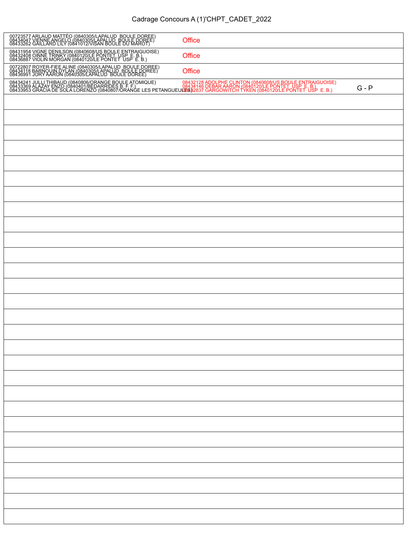| 00723577 ARLAUD MATTÉO (0840305/LAPALUD BOULE DOREE)<br>08434047 VIENNE ANGELO (0840305/LAPALUD BOULE DOREE)<br>08433262 GAILLARD LILY (0841012/VISAN BOULE DU MAROT)                                                                | Office |         |
|--------------------------------------------------------------------------------------------------------------------------------------------------------------------------------------------------------------------------------------|--------|---------|
| 08431954 VIGNE DENILSON (0840608/US BOULE ENTRAIGUOISE)<br>08432408 OINNE TRINKY (0840120/LE PONTET USP E.B.)<br>08436887 VIOLIN MORGAN (0840120/LE PONTET USP E.B.)                                                                 | Office |         |
| 00722807 ROYER-FIEE ALINE (0840305/LAPALUD BOULE DOREE)<br>08434118 BARNOUIN DYLAN (0840305/LAPALUD BOULE DOREE)<br>08436991 JORY AARON (0840305/LAPALUD BOULE DOREE)                                                                | Office |         |
| 08434241 JULLI THIBAUD (0840806/ORANGE BOULE ATOMIQUE)      08432128 ADOLPHE CLINTON (0840608/US BOULE ENTRAIGUOISE)<br>08433369 ALAZAY ENZO (0840401/BEDARRIDES B. F. F.)<br>08433953 GRACIA DE SOLA LORENZO (0840807/ORANGE LES PE |        | $G - P$ |
|                                                                                                                                                                                                                                      |        |         |
|                                                                                                                                                                                                                                      |        |         |
|                                                                                                                                                                                                                                      |        |         |
|                                                                                                                                                                                                                                      |        |         |
|                                                                                                                                                                                                                                      |        |         |
|                                                                                                                                                                                                                                      |        |         |
|                                                                                                                                                                                                                                      |        |         |
|                                                                                                                                                                                                                                      |        |         |
|                                                                                                                                                                                                                                      |        |         |
|                                                                                                                                                                                                                                      |        |         |
|                                                                                                                                                                                                                                      |        |         |
|                                                                                                                                                                                                                                      |        |         |
|                                                                                                                                                                                                                                      |        |         |
|                                                                                                                                                                                                                                      |        |         |
|                                                                                                                                                                                                                                      |        |         |
|                                                                                                                                                                                                                                      |        |         |
|                                                                                                                                                                                                                                      |        |         |
|                                                                                                                                                                                                                                      |        |         |
|                                                                                                                                                                                                                                      |        |         |
|                                                                                                                                                                                                                                      |        |         |
|                                                                                                                                                                                                                                      |        |         |
|                                                                                                                                                                                                                                      |        |         |
|                                                                                                                                                                                                                                      |        |         |
|                                                                                                                                                                                                                                      |        |         |
|                                                                                                                                                                                                                                      |        |         |
|                                                                                                                                                                                                                                      |        |         |
|                                                                                                                                                                                                                                      |        |         |
|                                                                                                                                                                                                                                      |        |         |